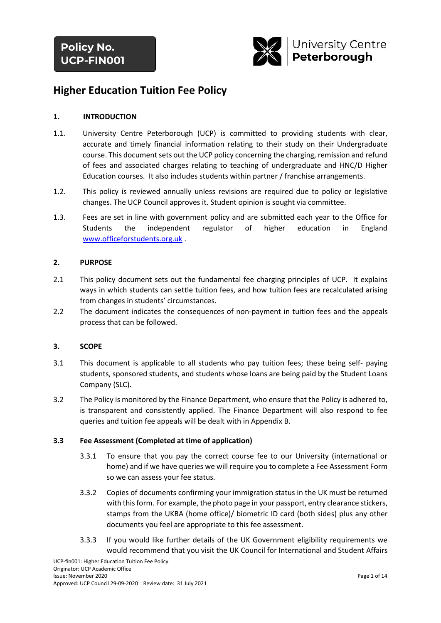

# **Higher Education Tuition Fee Policy**

## **1. INTRODUCTION**

- 1.1. University Centre Peterborough (UCP) is committed to providing students with clear, accurate and timely financial information relating to their study on their Undergraduate course. This document sets out the UCP policy concerning the charging, remission and refund of fees and associated charges relating to teaching of undergraduate and HNC/D Higher Education courses. It also includes students within partner / franchise arrangements.
- 1.2. This policy is reviewed annually unless revisions are required due to policy or legislative changes. The UCP Council approves it. Student opinion is sought via committee.
- 1.3. Fees are set in line with government policy and are submitted each year to the Office for Students the independent regulator of higher education in England [www.officeforstudents.org.uk](http://www.officeforstudents.org.uk/) .

## **2. PURPOSE**

- 2.1 This policy document sets out the fundamental fee charging principles of UCP. It explains ways in which students can settle tuition fees, and how tuition fees are recalculated arising from changes in students' circumstances.
- 2.2 The document indicates the consequences of non-payment in tuition fees and the appeals process that can be followed.

## **3. SCOPE**

- 3.1 This document is applicable to all students who pay tuition fees; these being self- paying students, sponsored students, and students whose loans are being paid by the Student Loans Company (SLC).
- 3.2 The Policy is monitored by the Finance Department, who ensure that the Policy is adhered to, is transparent and consistently applied. The Finance Department will also respond to fee queries and tuition fee appeals will be dealt with in Appendix B.

## **3.3 Fee Assessment (Completed at time of application)**

- 3.3.1 To ensure that you pay the correct course fee to our University (international or home) and if we have queries we will require you to complete a Fee Assessment Form so we can assess your fee status.
- 3.3.2 Copies of documents confirming your immigration status in the UK must be returned with this form. For example, the photo page in your passport, entry clearance stickers, stamps from the UKBA (home office)/ biometric ID card (both sides) plus any other documents you feel are appropriate to this fee assessment.
- 3.3.3 If you would like further details of the UK Government eligibility requirements we would recommend that you visit the UK Council for International and Student Affairs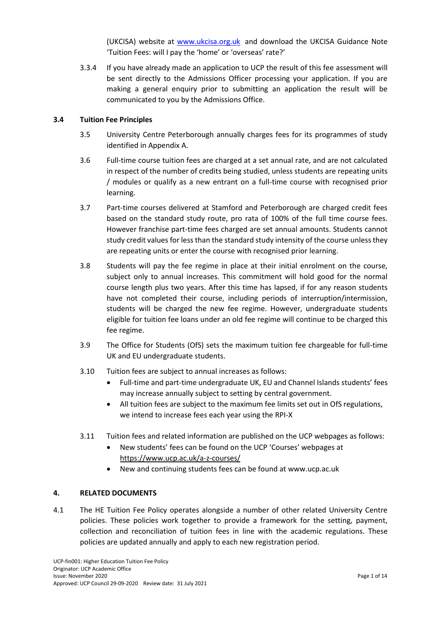(UKCISA) website at [www.ukcisa.org.uk](http://www.ukcisa.org.uk/) and download the UKCISA Guidance Note 'Tuition Fees: will I pay the 'home' or 'overseas' rate?'

3.3.4 If you have already made an application to UCP the result of this fee assessment will be sent directly to the Admissions Officer processing your application. If you are making a general enquiry prior to submitting an application the result will be communicated to you by the Admissions Office.

#### **3.4 Tuition Fee Principles**

- 3.5 University Centre Peterborough annually charges fees for its programmes of study identified in Appendix A.
- 3.6 Full-time course tuition fees are charged at a set annual rate, and are not calculated in respect of the number of credits being studied, unless students are repeating units / modules or qualify as a new entrant on a full-time course with recognised prior learning.
- 3.7 Part-time courses delivered at Stamford and Peterborough are charged credit fees based on the standard study route, pro rata of 100% of the full time course fees. However franchise part-time fees charged are set annual amounts. Students cannot study credit values for less than the standard study intensity of the course unless they are repeating units or enter the course with recognised prior learning.
- 3.8 Students will pay the fee regime in place at their initial enrolment on the course, subject only to annual increases. This commitment will hold good for the normal course length plus two years. After this time has lapsed, if for any reason students have not completed their course, including periods of interruption/intermission, students will be charged the new fee regime. However, undergraduate students eligible for tuition fee loans under an old fee regime will continue to be charged this fee regime.
- 3.9 The Office for Students (OfS) sets the maximum tuition fee chargeable for full-time UK and EU undergraduate students.
- 3.10 Tuition fees are subject to annual increases as follows:
	- Full-time and part-time undergraduate UK, EU and Channel Islands students' fees may increase annually subject to setting by central government.
	- All tuition fees are subject to the maximum fee limits set out in OfS regulations, we intend to increase fees each year using the RPI-X
- 3.11 Tuition fees and related information are published on the UCP webpages as follows:
	- New students' fees can be found on the UCP 'Courses' webpages at <https://www.ucp.ac.uk/a-z-courses/>
	- New and continuing students fees can be found at www.ucp.ac.uk

#### **4. RELATED DOCUMENTS**

4.1 The HE Tuition Fee Policy operates alongside a number of other related University Centre policies. These policies work together to provide a framework for the setting, payment, collection and reconciliation of tuition fees in line with the academic regulations. These policies are updated annually and apply to each new registration period.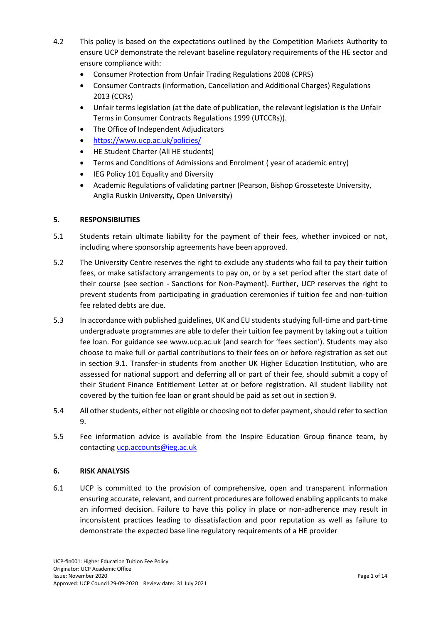- 4.2 This policy is based on the expectations outlined by the Competition Markets Authority to ensure UCP demonstrate the relevant baseline regulatory requirements of the HE sector and ensure compliance with:
	- Consumer Protection from Unfair Trading Regulations 2008 (CPRS)
	- Consumer Contracts (information, Cancellation and Additional Charges) Regulations 2013 (CCRs)
	- Unfair terms legislation (at the date of publication, the relevant legislation is the Unfair Terms in Consumer Contracts Regulations 1999 (UTCCRs)).
	- The Office of Independent Adjudicators
	- <https://www.ucp.ac.uk/policies/>
	- HE Student Charter (All HE students)
	- Terms and Conditions of Admissions and Enrolment ( year of academic entry)
	- IEG Policy 101 Equality and Diversity
	- Academic Regulations of validating partner (Pearson, Bishop Grosseteste University, Anglia Ruskin University, Open University)

## **5. RESPONSIBILITIES**

- 5.1 Students retain ultimate liability for the payment of their fees, whether invoiced or not, including where sponsorship agreements have been approved.
- 5.2 The University Centre reserves the right to exclude any students who fail to pay their tuition fees, or make satisfactory arrangements to pay on, or by a set period after the start date of their course (see section - Sanctions for Non-Payment). Further, UCP reserves the right to prevent students from participating in graduation ceremonies if tuition fee and non-tuition fee related debts are due.
- 5.3 In accordance with published guidelines, UK and EU students studying full-time and part-time undergraduate programmes are able to defer their tuition fee payment by taking out a tuition fee loan. For guidance see www.ucp.ac.uk (and search for 'fees section'). Students may also choose to make full or partial contributions to their fees on or before registration as set out in section 9.1. Transfer-in students from another UK Higher Education Institution, who are assessed for national support and deferring all or part of their fee, should submit a copy of their Student Finance Entitlement Letter at or before registration. All student liability not covered by the tuition fee loan or grant should be paid as set out in section 9.
- 5.4 All other students, either not eligible or choosing not to defer payment, should refer to section 9.
- 5.5 Fee information advice is available from the Inspire Education Group finance team, by contacting [ucp.accounts@ieg.ac.uk](mailto:ucp.accounts@ieg.ac.uk)

## **6. RISK ANALYSIS**

6.1 UCP is committed to the provision of comprehensive, open and transparent information ensuring accurate, relevant, and current procedures are followed enabling applicants to make an informed decision. Failure to have this policy in place or non-adherence may result in inconsistent practices leading to dissatisfaction and poor reputation as well as failure to demonstrate the expected base line regulatory requirements of a HE provider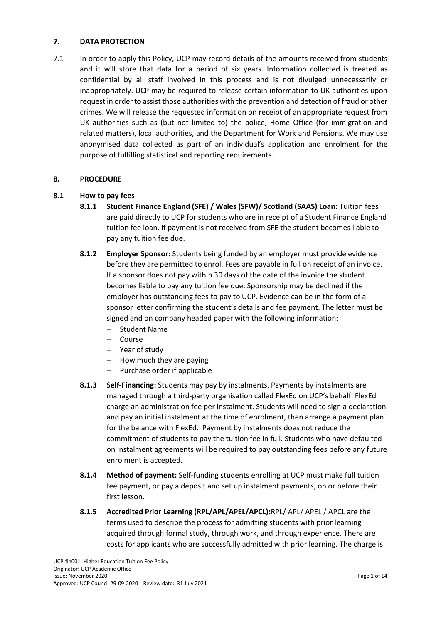## **7. DATA PROTECTION**

7.1 In order to apply this Policy, UCP may record details of the amounts received from students and it will store that data for a period of six years. Information collected is treated as confidential by all staff involved in this process and is not divulged unnecessarily or inappropriately. UCP may be required to release certain information to UK authorities upon request in order to assist those authorities with the prevention and detection of fraud or other crimes. We will release the requested information on receipt of an appropriate request from UK authorities such as (but not limited to) the police, Home Office (for immigration and related matters), local authorities, and the Department for Work and Pensions. We may use anonymised data collected as part of an individual's application and enrolment for the purpose of fulfilling statistical and reporting requirements.

## **8. PROCEDURE**

## **8.1 How to pay fees**

- **8.1.1 Student Finance England (SFE) / Wales (SFW)/ Scotland (SAAS) Loan:** Tuition fees are paid directly to UCP for students who are in receipt of a Student Finance England tuition fee loan. If payment is not received from SFE the student becomes liable to pay any tuition fee due.
- **8.1.2 Employer Sponsor:** Students being funded by an employer must provide evidence before they are permitted to enrol. Fees are payable in full on receipt of an invoice. If a sponsor does not pay within 30 days of the date of the invoice the student becomes liable to pay any tuition fee due. Sponsorship may be declined if the employer has outstanding fees to pay to UCP. Evidence can be in the form of a sponsor letter confirming the student's details and fee payment. The letter must be signed and on company headed paper with the following information:
	- Student Name
	- Course
	- Year of study
	- $-$  How much they are paying
	- $-$  Purchase order if applicable
- **8.1.3 Self-Financing:** Students may pay by instalments. Payments by instalments are managed through a third-party organisation called FlexEd on UCP's behalf. FlexEd charge an administration fee per instalment. Students will need to sign a declaration and pay an initial instalment at the time of enrolment, then arrange a payment plan for the balance with FlexEd. Payment by instalments does not reduce the commitment of students to pay the tuition fee in full. Students who have defaulted on instalment agreements will be required to pay outstanding fees before any future enrolment is accepted.
- **8.1.4 Method of payment:** Self-funding students enrolling at UCP must make full tuition fee payment, or pay a deposit and set up instalment payments, on or before their first lesson.
- **8.1.5 Accredited Prior Learning (RPL/APL/APEL/APCL):**RPL/ APL/ APEL / APCL are the terms used to describe the process for admitting students with prior learning acquired through formal study, through work, and through experience. There are costs for applicants who are successfully admitted with prior learning. The charge is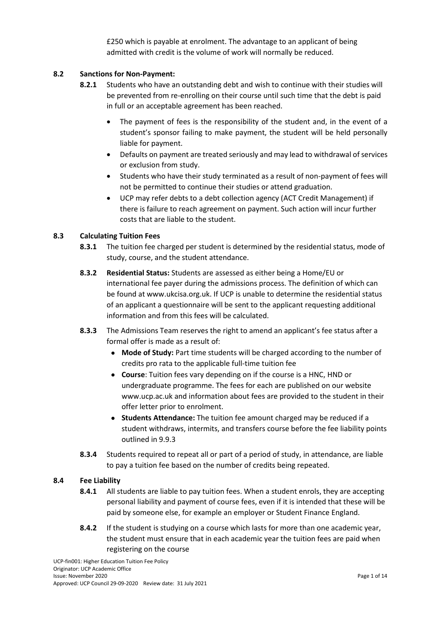£250 which is payable at enrolment. The advantage to an applicant of being admitted with credit is the volume of work will normally be reduced.

## **8.2 Sanctions for Non-Payment:**

- **8.2.1** Students who have an outstanding debt and wish to continue with their studies will be prevented from re-enrolling on their course until such time that the debt is paid in full or an acceptable agreement has been reached.
	- The payment of fees is the responsibility of the student and, in the event of a student's sponsor failing to make payment, the student will be held personally liable for payment.
	- Defaults on payment are treated seriously and may lead to withdrawal of services or exclusion from study.
	- Students who have their study terminated as a result of non-payment of fees will not be permitted to continue their studies or attend graduation.
	- UCP may refer debts to a debt collection agency (ACT Credit Management) if there is failure to reach agreement on payment. Such action will incur further costs that are liable to the student.

## **8.3 Calculating Tuition Fees**

- **8.3.1** The tuition fee charged per student is determined by the residential status, mode of study, course, and the student attendance.
- **8.3.2 Residential Status:** Students are assessed as either being a Home/EU or international fee payer during the admissions process. The definition of which can be found at www.ukcisa.org.uk. If UCP is unable to determine the residential status of an applicant a questionnaire will be sent to the applicant requesting additional information and from this fees will be calculated.
- **8.3.3** The Admissions Team reserves the right to amend an applicant's fee status after a formal offer is made as a result of:
	- **Mode of Study:** Part time students will be charged according to the number of credits pro rata to the applicable full-time tuition fee
	- **Course**: Tuition fees vary depending on if the course is a HNC, HND or undergraduate programme. The fees for each are published on our website [www.ucp.ac.uk](http://www.ucp.ac.uk/) and information about fees are provided to the student in their offer letter prior to enrolment.
	- **Students Attendance:** The tuition fee amount charged may be reduced if a student withdraws, intermits, and transfers course before the fee liability points outlined in 9.9.3
- **8.3.4** Students required to repeat all or part of a period of study, in attendance, are liable to pay a tuition fee based on the number of credits being repeated.

## **8.4 Fee Liability**

- **8.4.1** All students are liable to pay tuition fees. When a student enrols, they are accepting personal liability and payment of course fees, even if it is intended that these will be paid by someone else, for example an employer or Student Finance England.
- **8.4.2** If the student is studying on a course which lasts for more than one academic year, the student must ensure that in each academic year the tuition fees are paid when registering on the course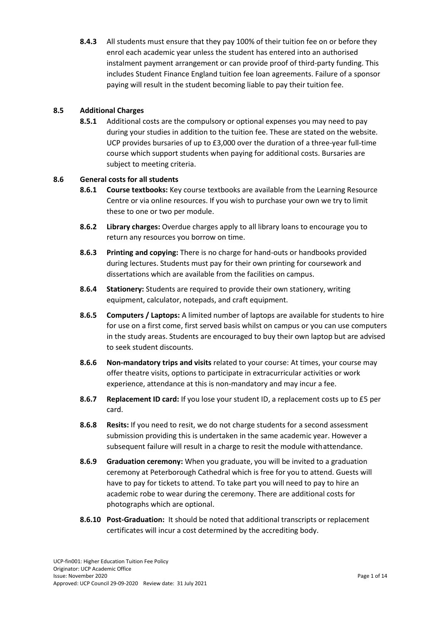**8.4.3** All students must ensure that they pay 100% of their tuition fee on or before they enrol each academic year unless the student has entered into an authorised instalment payment arrangement or can provide proof of third-party funding. This includes Student Finance England tuition fee loan agreements. Failure of a sponsor paying will result in the student becoming liable to pay their tuition fee.

## **8.5 Additional Charges**

**8.5.1** Additional costs are the compulsory or optional expenses you may need to pay during your studies in addition to the tuition fee. These are stated on the website. UCP provides bursaries of up to £3,000 over the duration of a three-year full-time course which support students when paying for additional costs. Bursaries are subject to meeting criteria.

## **8.6 General costs for all students**

- **8.6.1 Course textbooks:** Key course textbooks are available from the Learning Resource Centre or via online resources. If you wish to purchase your own we try to limit these to one or two per module.
- **8.6.2 Library charges:** Overdue charges apply to all library loans to encourage you to return any resources you borrow on time.
- **8.6.3 Printing and copying:** There is no charge for hand-outs or handbooks provided during lectures. Students must pay for their own printing for coursework and dissertations which are available from the facilities on campus.
- **8.6.4 Stationery:** Students are required to provide their own stationery, writing equipment, calculator, notepads, and craft equipment.
- **8.6.5 Computers / Laptops:** A limited number of laptops are available for students to hire for use on a first come, first served basis whilst on campus or you can use computers in the study areas. Students are encouraged to buy their own laptop but are advised to seek student discounts.
- **8.6.6 Non-mandatory trips and visits** related to your course: At times, your course may offer theatre visits, options to participate in extracurricular activities or work experience, attendance at this is non-mandatory and may incur a fee.
- **8.6.7 Replacement ID card:** If you lose your student ID, a replacement costs up to £5 per card.
- **8.6.8 Resits:** If you need to resit, we do not charge students for a second assessment submission providing this is undertaken in the same academic year. However a subsequent failure will result in a charge to resit the module withattendance.
- **8.6.9 Graduation ceremony:** When you graduate, you will be invited to a graduation ceremony at Peterborough Cathedral which is free for you to attend. Guests will have to pay for tickets to attend. To take part you will need to pay to hire an academic robe to wear during the ceremony. There are additional costs for photographs which are optional.
- **8.6.10 Post-Graduation:** It should be noted that additional transcripts or replacement certificates will incur a cost determined by the accrediting body.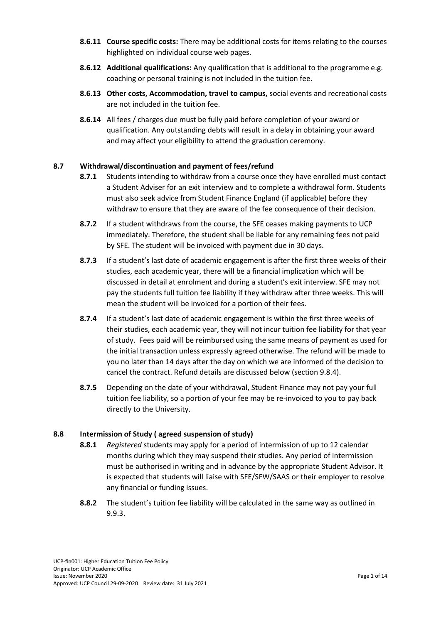- **8.6.11 Course specific costs:** There may be additional costs for items relating to the courses highlighted on individual course web pages.
- **8.6.12 Additional qualifications:** Any qualification that is additional to the programme e.g. coaching or personal training is not included in the tuition fee.
- **8.6.13 Other costs, Accommodation, travel to campus,** social events and recreational costs are not included in the tuition fee.
- **8.6.14** All fees / charges due must be fully paid before completion of your award or qualification. Any outstanding debts will result in a delay in obtaining your award and may affect your eligibility to attend the graduation ceremony.

## **8.7 Withdrawal/discontinuation and payment of fees/refund**

- **8.7.1** Students intending to withdraw from a course once they have enrolled must contact a Student Adviser for an exit interview and to complete a withdrawal form. Students must also seek advice from Student Finance England (if applicable) before they withdraw to ensure that they are aware of the fee consequence of their decision.
- **8.7.2** If a student withdraws from the course, the SFE ceases making payments to UCP immediately. Therefore, the student shall be liable for any remaining fees not paid by SFE. The student will be invoiced with payment due in 30 days.
- **8.7.3** If a student's last date of academic engagement is after the first three weeks of their studies, each academic year, there will be a financial implication which will be discussed in detail at enrolment and during a student's exit interview. SFE may not pay the students full tuition fee liability if they withdraw after three weeks. This will mean the student will be invoiced for a portion of their fees.
- **8.7.4** If a student's last date of academic engagement is within the first three weeks of their studies, each academic year, they will not incur tuition fee liability for that year of study. Fees paid will be reimbursed using the same means of payment as used for the initial transaction unless expressly agreed otherwise. The refund will be made to you no later than 14 days after the day on which we are informed of the decision to cancel the contract. Refund details are discussed below (section 9.8.4).
- **8.7.5** Depending on the date of your withdrawal, Student Finance may not pay your full tuition fee liability, so a portion of your fee may be re-invoiced to you to pay back directly to the University.

## **8.8 Intermission of Study ( agreed suspension of study)**

- **8.8.1** *Registered* students may apply for a period of intermission of up to 12 calendar months during which they may suspend their studies. Any period of intermission must be authorised in writing and in advance by the appropriate Student Advisor. It is expected that students will liaise with SFE/SFW/SAAS or their employer to resolve any financial or funding issues.
- **8.8.2** The student's tuition fee liability will be calculated in the same way as outlined in 9.9.3.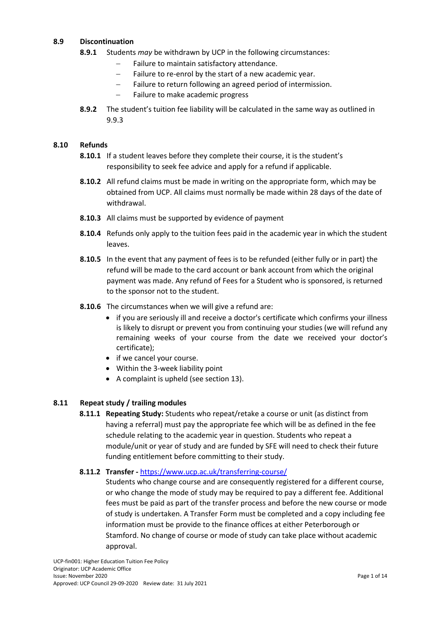## **8.9 Discontinuation**

- **8.9.1** Students *may* be withdrawn by UCP in the following circumstances:
	- $-$  Failure to maintain satisfactory attendance.
	- Failure to re-enrol by the start of a new academic year.
	- Failure to return following an agreed period of intermission.
	- $-$  Failure to make academic progress
- **8.9.2** The student's tuition fee liability will be calculated in the same way as outlined in 9.9.3

## **8.10 Refunds**

- **8.10.1** If a student leaves before they complete their course, it is the student's responsibility to seek fee advice and apply for a refund if applicable.
- **8.10.2** All refund claims must be made in writing on the appropriate form, which may be obtained from UCP. All claims must normally be made within 28 days of the date of withdrawal.
- **8.10.3** All claims must be supported by evidence of payment
- **8.10.4** Refunds only apply to the tuition fees paid in the academic year in which the student leaves.
- **8.10.5** In the event that any payment of fees is to be refunded (either fully or in part) the refund will be made to the card account or bank account from which the original payment was made. Any refund of Fees for a Student who is sponsored, is returned to the sponsor not to the student.
- **8.10.6** The circumstances when we will give a refund are:
	- if you are seriously ill and receive a doctor's certificate which confirms your illness is likely to disrupt or prevent you from continuing your studies (we will refund any remaining weeks of your course from the date we received your doctor's certificate);
	- if we cancel your course.
	- Within the 3-week liability point
	- A complaint is upheld (see section 13).

## **8.11 Repeat study / trailing modules**

**8.11.1 Repeating Study:** Students who repeat/retake a course or unit (as distinct from having a referral) must pay the appropriate fee which will be as defined in the fee schedule relating to the academic year in question. Students who repeat a module/unit or year of study and are funded by SFE will need to check their future funding entitlement before committing to their study.

## **8.11.2 Transfer -** <https://www.ucp.ac.uk/transferring-course/>

Students who change course and are consequently registered for a different course, or who change the mode of study may be required to pay a different fee. Additional fees must be paid as part of the transfer process and before the new course or mode of study is undertaken. A Transfer Form must be completed and a copy including fee information must be provide to the finance offices at either Peterborough or Stamford. No change of course or mode of study can take place without academic approval.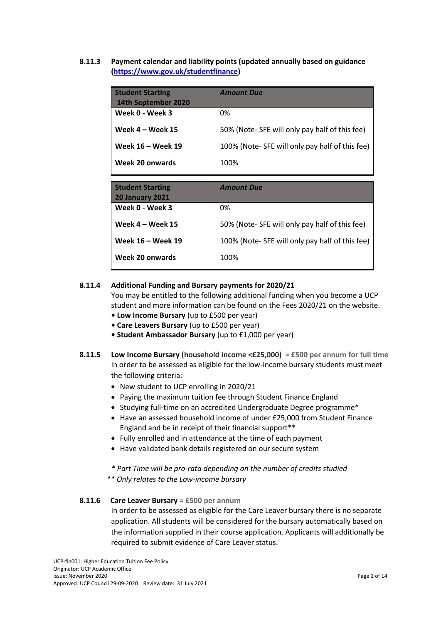**8.11.3 Payment calendar and liability points (updated annually based on guidance [\(https://www.gov.uk/studentfinance\)](https://www.gov.uk/studentfinance)** 

| <b>Student Starting</b><br>14th September 2020 | <b>Amount Due</b>                              |
|------------------------------------------------|------------------------------------------------|
| Week 0 - Week 3                                | 0%                                             |
| Week $4 -$ Week 15                             | 50% (Note-SFE will only pay half of this fee)  |
| Week 16 - Week 19                              | 100% (Note-SFE will only pay half of this fee) |
| Week 20 onwards                                | 100%                                           |
|                                                |                                                |
| <b>Student Starting</b>                        |                                                |
|                                                | <b>Amount Due</b>                              |
| <b>20 January 2021</b>                         |                                                |
| Week 0 - Week 3                                | 0%                                             |
| Week $4 -$ Week 15                             | 50% (Note-SFE will only pay half of this fee)  |
| Week 16 - Week 19                              | 100% (Note-SFE will only pay half of this fee) |

## **8.11.4 Additional Funding and Bursary payments for 2020/21**

You may be entitled to the following additional funding when you become a UCP student and more information can be found on the [Fees 2020/21](https://www.ucp.ac.uk/fees-2020/21/) on the website.

- **Low Income Bursary** (up to £500 per year)
- **Care Leavers Bursary** (up to £500 per year)
- **Student Ambassador Bursary** (up to £1,000 per year)
- **8.11.5 Low Income Bursary (household income <£25,000) = £500 per annum for full time** In order to be assessed as eligible for the low-income bursary students must meet the following criteria:
	- New student to UCP enrolling in 2020/21
	- Paying the maximum tuition fee through Student Finance England
	- Studying full-time on an accredited Undergraduate Degree programme\*
	- Have an assessed household income of under £25,000 from Student Finance England and be in receipt of their financial support\*\*
	- Fully enrolled and in attendance at the time of each payment
	- Have validated bank details registered on our secure system

*\* Part Time will be pro-rata depending on the number of credits studied*

*\*\* Only relates to the Low-income bursary*

## **8.11.6 Care Leaver Bursary = £500 per annum**

In order to be assessed as eligible for the Care Leaver bursary there is no separate application. All students will be considered for the bursary automatically based on the information supplied in their course application. Applicants will additionally be required to submit evidence of Care Leaver status.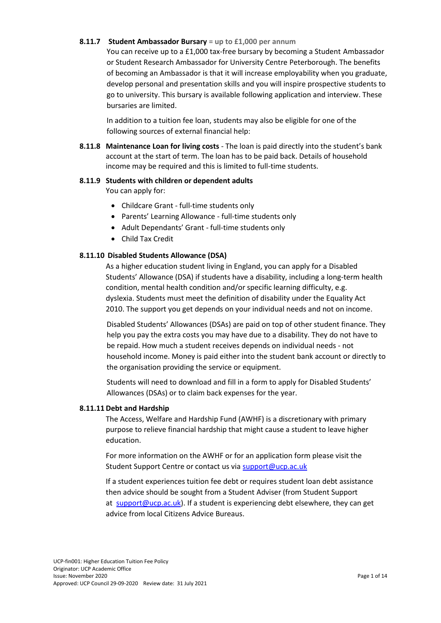#### **8.11.7 Student Ambassador Bursary = up to £1,000 per annum**

You can receive up to a £1,000 tax-free bursary by becoming a Student Ambassador or Student Research Ambassador for University Centre Peterborough. The benefits of becoming an Ambassador is that it will increase employability when you graduate, develop personal and presentation skills and you will inspire prospective students to go to university. This bursary is available following application and interview. These bursaries are limited.

In addition to a tuition fee loan, students may also be eligible for one of the following sources of external financial help:

**8.11.8 Maintenance Loan for living costs** - The loan is paid directly into the student's bank account at the start of term. The loan has to be paid back. Details of [household](https://www.gov.uk/apply-for-student-finance/household-income)  [income](https://www.gov.uk/apply-for-student-finance/household-income) may be required and this is limited to full-time students.

## **8.11.9 Students with children or dependent adults**

You can apply for:

- Childcare Grant full-time students only
- Parents' Learning Allowance full-time students only
- Adult Dependants' Grant full-time students only
- Child Tax Credit

## **8.11.10 Disabled Students Allowance (DSA)**

As a higher education student living in England, you can apply for a [Disabled](https://www.gov.uk/disabled-students-allowances-dsas/overview)  [Students' Allowance \(DSA\)](https://www.gov.uk/disabled-students-allowances-dsas/overview) if students have a disability, including a long-term health condition, mental health condition and/or specific learning difficulty, e.g. dyslexia. Students must meet the [definition of disability](https://www.gov.uk/definition-of-disability-under-equality-act-2010) under the Equality Act 2010. The [support you get](https://www.gov.uk/disabled-students-allowances-dsas/what-youll-get) depends on your individual needs and not on income.

Disabled Students' Allowances (DSAs) are paid on top of other student finance. They help you pay the extra costs you may have due to a disability. They do not have to be repaid. How much a student receives depends on individual needs - not household income. Money is paid either into the student bank account or directly to the organisation providing the service or equipment.

Students will need to [download and fill in a form](https://www.gov.uk/student-finance-forms) to apply for Disabled Students' Allowances (DSAs) or to claim back expenses for the year.

## **8.11.11 Debt and Hardship**

The Access, Welfare and Hardship Fund (AWHF) is a discretionary with primary purpose to relieve financial hardship that might cause a student to leave higher education.

For more information on the AWHF or for an application form please visit the Student Support Centre or contact us via [support@ucp.ac.uk](mailto:support@ucp.ac.uk)

If a student experiences tuition fee debt or requires student loan debt assistance then advice should be sought from a Student Adviser (from Student Support at [support@ucp.ac.uk\)](mailto:support@ucp.ac.uk). If a student is experiencing debt elsewhere, they can get advice from local [Citizens Advice Bureaus](https://www.citizensadvice.org.uk/).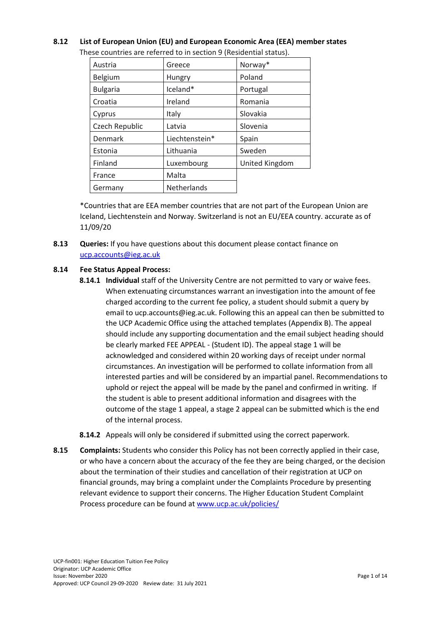## **8.12 List of European Union (EU) and European Economic Area (EEA) member states**

| Austria         | Greece         | Norway*        |
|-----------------|----------------|----------------|
| Belgium         | Hungry         | Poland         |
| <b>Bulgaria</b> | Iceland*       | Portugal       |
| Croatia         | Ireland        | Romania        |
| Cyprus          | Italy          | Slovakia       |
| Czech Republic  | Latvia         | Slovenia       |
| Denmark         | Liechtenstein* | Spain          |
| Estonia         | Lithuania      | Sweden         |
| Finland         | Luxembourg     | United Kingdom |
| France          | Malta          |                |
| Germany         | Netherlands    |                |

These countries are referred to in section 9 (Residential status).

\*Countries that are EEA member countries that are not part of the European Union are Iceland, Liechtenstein and Norway. Switzerland is not an EU/EEA country. accurate as of 11/09/20

**8.13 Queries:** If you have questions about this document please contact finance on [ucp.accounts@ieg.ac.uk](mailto:ucp.accounts@ieg.ac.uk)

## **8.14 Fee Status Appeal Process:**

- **8.14.1 Individual** staff of the University Centre are not permitted to vary or waive fees. When extenuating circumstances warrant an investigation into the amount of fee charged according to the current fee policy, a student should submit a query by email to [ucp.accounts@ieg.ac.uk.](mailto:ucp.accounts@ieg.ac.uk) Following this an appeal can then be submitted to the UCP Academic Office using the attached templates (Appendix B). The appeal should include any supporting documentation and the email subject heading should be clearly marked FEE APPEAL - (Student ID). The appeal stage 1 will be acknowledged and considered within 20 working days of receipt under normal circumstances. An investigation will be performed to collate information from all interested parties and will be considered by an impartial panel. Recommendations to uphold or reject the appeal will be made by the panel and confirmed in writing. If the student is able to present additional information and disagrees with the outcome of the stage 1 appeal, a stage 2 appeal can be submitted which is the end of the internal process.
- **8.14.2** Appeals will only be considered if submitted using the correct paperwork.
- **8.15 Complaints:** Students who consider this Policy has not been correctly applied in their case, or who have a concern about the accuracy of the fee they are being charged, or the decision about the termination of their studies and cancellation of their registration at UCP on financial grounds, may bring a complaint under the Complaints Procedure by presenting relevant evidence to support their concerns. The Higher Education Student Complaint Process procedure can be found at [www.ucp.ac.uk/policies/](http://www.ucp.ac.uk/policies/)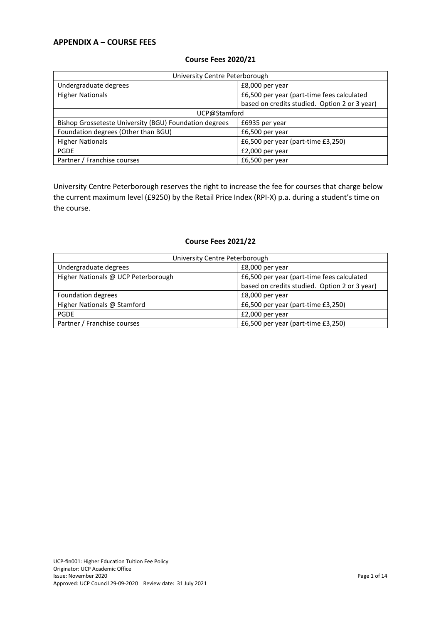## **APPENDIX A – COURSE FEES**

| University Centre Peterborough                         |                                               |  |
|--------------------------------------------------------|-----------------------------------------------|--|
| Undergraduate degrees                                  | £8,000 per year                               |  |
| <b>Higher Nationals</b>                                | £6,500 per year (part-time fees calculated    |  |
|                                                        | based on credits studied. Option 2 or 3 year) |  |
| UCP@Stamford                                           |                                               |  |
| Bishop Grosseteste University (BGU) Foundation degrees | £6935 per year                                |  |
| Foundation degrees (Other than BGU)                    | £6,500 per year                               |  |
| <b>Higher Nationals</b>                                | £6,500 per year (part-time £3,250)            |  |
| <b>PGDE</b>                                            | £2,000 per year                               |  |
| Partner / Franchise courses                            | £6,500 per year                               |  |

## **Course Fees 2020/21**

University Centre Peterborough reserves the right to increase the fee for courses that charge below the current maximum level (£9250) by the Retail Price Index (RPI-X) p.a. during a student's time on the course.

### **Course Fees 2021/22**

| University Centre Peterborough      |                                               |
|-------------------------------------|-----------------------------------------------|
| Undergraduate degrees               | £8,000 per year                               |
| Higher Nationals @ UCP Peterborough | £6,500 per year (part-time fees calculated    |
|                                     | based on credits studied. Option 2 or 3 year) |
| Foundation degrees                  | £8,000 per year                               |
| Higher Nationals @ Stamford         | £6,500 per year (part-time £3,250)            |
| <b>PGDE</b>                         | £2,000 per year                               |
| Partner / Franchise courses         | £6,500 per year (part-time $£3,250$ )         |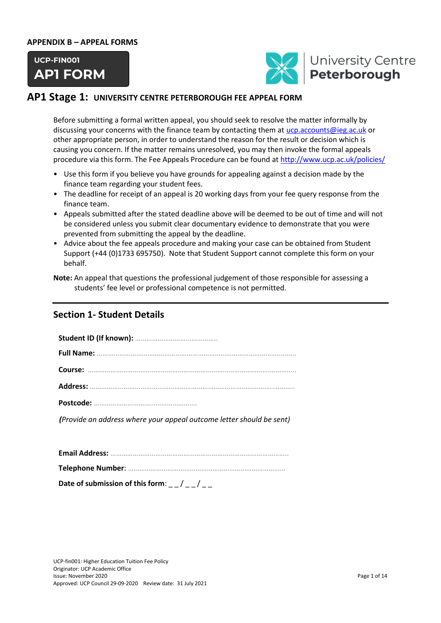#### **APPENDIX B – APPEAL FORMS**





## **AP1 Stage 1: UNIVERSITY CENTRE PETERBOROUGH FEE APPEAL FORM**

Before submitting a formal written appeal, you should seek to resolve the matter informally by discussing your concerns with the finance team by contacting them at [ucp.accounts@ieg.ac.uk](mailto:ucp.accounts@ieg.ac.uk) or other appropriate person, in order to understand the reason for the result or decision which is causing you concern. If the matter remains unresolved, you may then invoke the formal appeals procedure via this form. The Fee Appeals Procedure can be found a[t http://www.ucp.ac.uk/policies/](http://www.ucp.ac.uk/policies/)

- Use this form if you believe you have grounds for appealing against a decision made by the finance team regarding your student fees.
- The deadline for receipt of an appeal is 20 working days from your fee query response from the finance team.
- Appeals submitted after the stated deadline above will be deemed to be out of time and will not be considered unless you submit clear documentary evidence to demonstrate that you were prevented from submitting the appeal by the deadline.
- Advice about the fee appeals procedure and making your case can be obtained from Student Support (+44 (0)1733 695750). Note that Student Support cannot complete this form on your behalf.

## **Section 1- Student Details**

| (Provide an address where your appeal outcome letter should be sent) |
|----------------------------------------------------------------------|

| Date of submission of this form: $\frac{1}{2}$ / $\frac{1}{2}$ / |
|------------------------------------------------------------------|

**Note:** An appeal that questions the professional judgement of those responsible for assessing a students' fee level or professional competence is not permitted.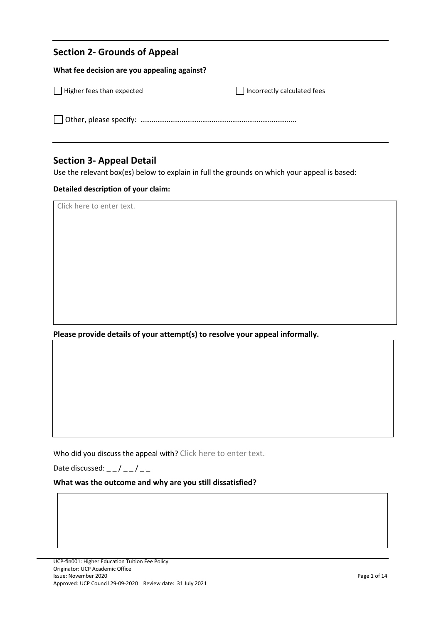## **Section 2- Grounds of Appeal**

l

| What fee decision are you appealing against? |                             |  |
|----------------------------------------------|-----------------------------|--|
| $\Box$ Higher fees than expected             | Incorrectly calculated fees |  |
|                                              |                             |  |

## **Section 3- Appeal Detail**

Use the relevant box(es) below to explain in full the grounds on which your appeal is based:

## **Detailed description of your claim:**

Click here to enter text.

**Please provide details of your attempt(s) to resolve your appeal informally.** 

Who did you discuss the appeal with? Click here to enter text.

Date discussed:  $_{--}/_{--}/_{--}$ 

## **What was the outcome and why are you still dissatisfied?**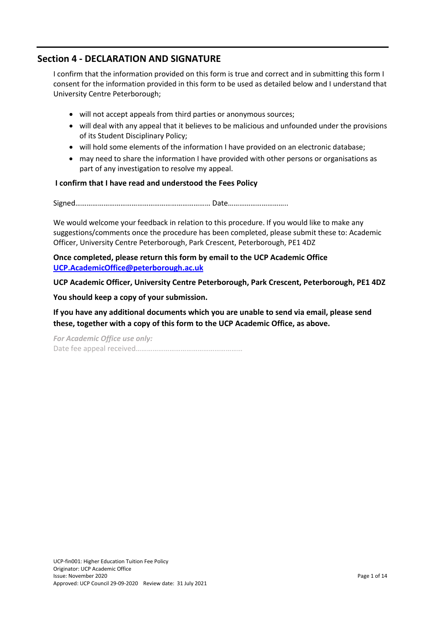## **Section 4 - DECLARATION AND SIGNATURE**

I confirm that the information provided on this form is true and correct and in submitting this form I consent for the information provided in this form to be used as detailed below and I understand that University Centre Peterborough;

- will not accept appeals from third parties or anonymous sources;
- will deal with any appeal that it believes to be malicious and unfounded under the provisions of its Student Disciplinary Policy;
- will hold some elements of the information I have provided on an electronic database;
- may need to share the information I have provided with other persons or organisations as part of any investigation to resolve my appeal.

## **I confirm that I have read and understood the Fees Policy**

Signed……………………………………………………………… Date…………………………..

We would welcome your feedback in relation to this procedure. If you would like to make any suggestions/comments once the procedure has been completed, please submit these to: Academic Officer, University Centre Peterborough, Park Crescent, Peterborough, PE1 4DZ

**Once completed, please return this form by email to the UCP Academic Office [UCP.AcademicOffice@peterborough.ac.uk](mailto:UCP.AcademicOffice@peterborough.ac.uk)**

**UCP Academic Officer, University Centre Peterborough, Park Crescent, Peterborough, PE1 4DZ** 

**You should keep a copy of your submission.** 

**If you have any additional documents which you are unable to send via email, please send these, together with a copy of this form to the UCP Academic Office, as above.**

*For Academic Office use only:*  Date fee appeal received…………………………………………………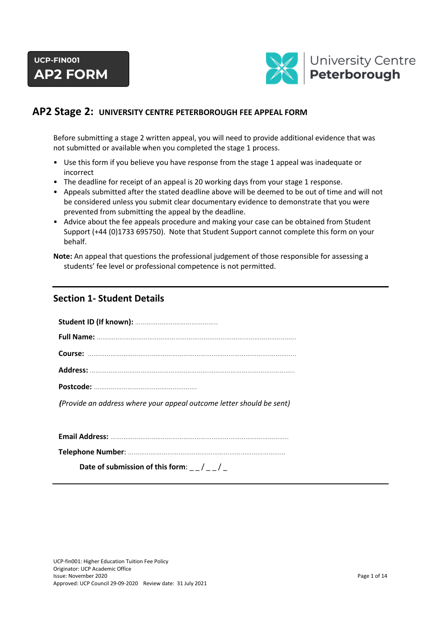

## **AP2 Stage 2: UNIVERSITY CENTRE PETERBOROUGH FEE APPEAL FORM**

Before submitting a stage 2 written appeal, you will need to provide additional evidence that was not submitted or available when you completed the stage 1 process.

- Use this form if you believe you have response from the stage 1 appeal was inadequate or incorrect
- The deadline for receipt of an appeal is 20 working days from your stage 1 response.
- Appeals submitted after the stated deadline above will be deemed to be out of time and will not be considered unless you submit clear documentary evidence to demonstrate that you were prevented from submitting the appeal by the deadline.
- Advice about the fee appeals procedure and making your case can be obtained from Student Support (+44 (0)1733 695750). Note that Student Support cannot complete this form on your behalf.

**Note:** An appeal that questions the professional judgement of those responsible for assessing a students' fee level or professional competence is not permitted.

## **Section 1- Student Details**

| (Provide an address where your appeal outcome letter should be sent) |
|----------------------------------------------------------------------|
|                                                                      |
|                                                                      |

| Date of submission of this form: $\frac{1}{2}$ / $\frac{1}{2}$ |  |
|----------------------------------------------------------------|--|